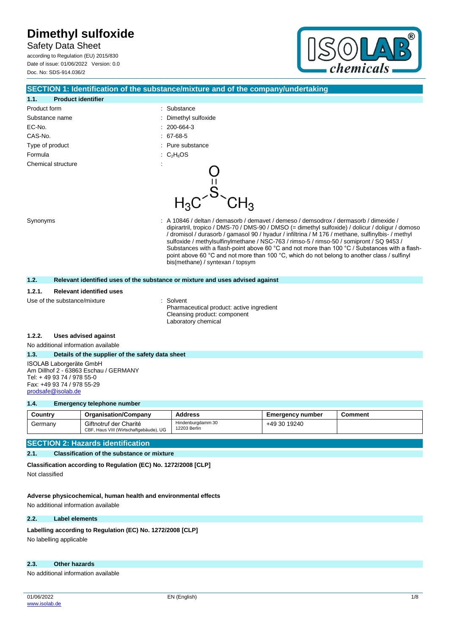Safety Data Sheet according to Regulation (EU) 2015/830 Date of issue: 01/06/2022 Version: 0.0 Doc. No: SDS-914.036/2



## **SECTION 1: Identification of the substance/mixture and of the company/undertaking 1.1. Product identifier** Product form **: Substance** : Substance Substance name  $\qquad \qquad$ : Dimethyl sulfoxide EC-No. : 200-664-3 CAS-No. : 67-68-5 Type of product in the substance in the substance in the substance in the substance Formula : C<sub>2</sub>H<sub>6</sub>OS Chemical structure Synonyms **Synonyms** : A 10846 / deltan / demasorb / demavet / demeso / demsodrox / dermasorb / dimexide / dipirartril, tropico / DMS-70 / DMS-90 / DMSO (= dimethyl sulfoxide) / dolicur / doligur / domoso / dromisol / durasorb / gamasol 90 / hyadur / infiltrina / M 176 / methane, sulfinylbis- / methyl sulfoxide / methylsulfinylmethane / NSC-763 / rimso-5 / rimso-50 / somipront / SQ 9453 / Substances with a flash-point above 60 °C and not more than 100 °C / Substances with a flashpoint above 60 °C and not more than 100 °C, which do not belong to another class / sulfinyl bis(methane) / syntexan / topsym **1.2. Relevant identified uses of the substance or mixture and uses advised against**

#### **1.2.1. Relevant identified uses**

Use of the substance/mixture in the solvent

Pharmaceutical product: active ingredient Cleansing product: component Laboratory chemical

#### **1.2.2. Uses advised against**

No additional information available

#### **1.3. Details of the supplier of the safety data sheet**

ISOLAB Laborgeräte GmbH Am Dillhof 2 - 63863 Eschau / GERMANY Tel: + 49 93 74 / 978 55-0 Fax: +49 93 74 / 978 55-29 [prodsafe@isolab.de](mailto:prodsafe@isolab.de)

#### **1.4. Emergency telephone number**

| Country | <b>Organisation/Company</b>                                      | <b>Address</b>                    | <b>Emergency number</b> | <b>Comment</b> |
|---------|------------------------------------------------------------------|-----------------------------------|-------------------------|----------------|
| Germany | Giftnotruf der Charité<br>CBF, Haus VIII (Wirtschaftgebäude), UG | Hindenburgdamm 30<br>12203 Berlin | +49 30 19240            |                |

#### **SECTION 2: Hazards identification**

#### **2.1. Classification of the substance or mixture**

**Classification according to Regulation (EC) No. 1272/2008 [CLP]** Not classified

**Adverse physicochemical, human health and environmental effects**

No additional information available

#### **2.2. Label elements**

Labelling according to Regulation (EC) No. 1272/2008 [CLP]

No labelling applicable

#### **2.3. Other hazards**

No additional information available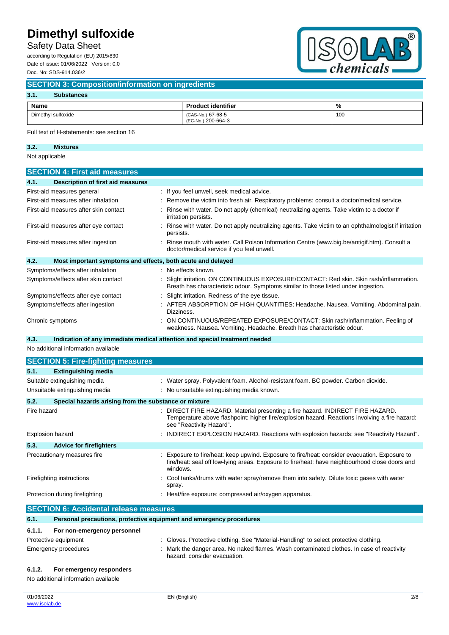Safety Data Sheet

according to Regulation (EU) 2015/830 Date of issue: 01/06/2022 Version: 0.0 Doc. No: SDS-914.036/2



#### **SECTION 3: Composition/information on ingredients**

#### **3.1. Substances**

| Name               | <b>Product identifier</b>               | %   |
|--------------------|-----------------------------------------|-----|
| Dimethyl sulfoxide | (CAS-No.) 67-68-5<br>(EC-No.) 200-664-3 | 100 |

Full text of H-statements: see section 16

### **3.2. Mixtures**

Not applicable

| <b>SECTION 4: First aid measures</b>                                |                                                                                                                                                                            |  |  |
|---------------------------------------------------------------------|----------------------------------------------------------------------------------------------------------------------------------------------------------------------------|--|--|
| Description of first aid measures<br>4.1.                           |                                                                                                                                                                            |  |  |
| First-aid measures general                                          | : If you feel unwell, seek medical advice.                                                                                                                                 |  |  |
| First-aid measures after inhalation                                 | : Remove the victim into fresh air. Respiratory problems: consult a doctor/medical service.                                                                                |  |  |
| First-aid measures after skin contact                               | Rinse with water. Do not apply (chemical) neutralizing agents. Take victim to a doctor if<br>irritation persists.                                                          |  |  |
| First-aid measures after eye contact                                | Rinse with water. Do not apply neutralizing agents. Take victim to an ophthalmologist if irritation<br>persists.                                                           |  |  |
| First-aid measures after ingestion                                  | : Rinse mouth with water. Call Poison Information Centre (www.big.be/antigif.htm). Consult a<br>doctor/medical service if you feel unwell.                                 |  |  |
| 4.2.<br>Most important symptoms and effects, both acute and delayed |                                                                                                                                                                            |  |  |
| Symptoms/effects after inhalation                                   | : No effects known.                                                                                                                                                        |  |  |
| Symptoms/effects after skin contact                                 | Slight irritation. ON CONTINUOUS EXPOSURE/CONTACT: Red skin. Skin rash/inflammation.<br>Breath has characteristic odour. Symptoms similar to those listed under ingestion. |  |  |
| Symptoms/effects after eye contact                                  | Slight irritation. Redness of the eye tissue.                                                                                                                              |  |  |
| Symptoms/effects after ingestion                                    | : AFTER ABSORPTION OF HIGH QUANTITIES: Headache. Nausea. Vomiting. Abdominal pain.<br>Dizziness.                                                                           |  |  |
| Chronic symptoms                                                    | ON CONTINUOUS/REPEATED EXPOSURE/CONTACT: Skin rash/inflammation. Feeling of<br>weakness. Nausea. Vomiting. Headache. Breath has characteristic odour.                      |  |  |

#### **4.3. Indication of any immediate medical attention and special treatment needed**

No additional information available

|                           | <b>SECTION 5: Fire-fighting measures</b>                            |  |                                                                                                                                                                                                            |
|---------------------------|---------------------------------------------------------------------|--|------------------------------------------------------------------------------------------------------------------------------------------------------------------------------------------------------------|
| 5.1.                      | <b>Extinguishing media</b>                                          |  |                                                                                                                                                                                                            |
|                           | Suitable extinguishing media                                        |  | : Water spray. Polyvalent foam. Alcohol-resistant foam. BC powder. Carbon dioxide.                                                                                                                         |
|                           | Unsuitable extinguishing media                                      |  | : No unsuitable extinguishing media known.                                                                                                                                                                 |
| 5.2.                      | Special hazards arising from the substance or mixture               |  |                                                                                                                                                                                                            |
| Fire hazard               |                                                                     |  | DIRECT FIRE HAZARD. Material presenting a fire hazard. INDIRECT FIRE HAZARD.<br>Temperature above flashpoint: higher fire/explosion hazard. Reactions involving a fire hazard:<br>see "Reactivity Hazard". |
| Explosion hazard          |                                                                     |  | INDIRECT EXPLOSION HAZARD. Reactions with explosion hazards: see "Reactivity Hazard".                                                                                                                      |
| 5.3.                      | <b>Advice for firefighters</b>                                      |  |                                                                                                                                                                                                            |
|                           | Precautionary measures fire                                         |  | Exposure to fire/heat: keep upwind. Exposure to fire/heat: consider evacuation. Exposure to<br>fire/heat: seal off low-lying areas. Exposure to fire/heat: have neighbourhood close doors and<br>windows.  |
| Firefighting instructions |                                                                     |  | Cool tanks/drums with water spray/remove them into safety. Dilute toxic gases with water<br>spray.                                                                                                         |
|                           | Protection during firefighting                                      |  | Heat/fire exposure: compressed air/oxygen apparatus.                                                                                                                                                       |
|                           | <b>SECTION 6: Accidental release measures</b>                       |  |                                                                                                                                                                                                            |
| 6.1.                      | Personal precautions, protective equipment and emergency procedures |  |                                                                                                                                                                                                            |
| 6.1.1.                    | For non-emergency personnel                                         |  |                                                                                                                                                                                                            |

#### Protective equipment : Gloves. Protective clothing. See "Material-Handling" to select protective clothing. Emergency procedures **in the state of the danger area.** No naked flames. Wash contaminated clothes. In case of reactivity hazard: consider evacuation. **6.1.2. For emergency responders**

No additional information available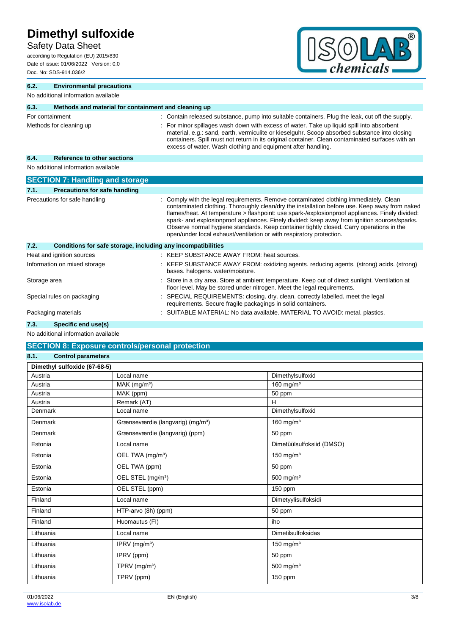## Safety Data Sheet

according to Regulation (EU) 2015/830 Date of issue: 01/06/2022 Version: 0.0 Doc. No: SDS-914.036/2



| 6.2.            | <b>Environmental precautions</b>                             |  |                                                                                                                                                                                                                                                                                                                                                                                                                                                                                                                                                              |  |
|-----------------|--------------------------------------------------------------|--|--------------------------------------------------------------------------------------------------------------------------------------------------------------------------------------------------------------------------------------------------------------------------------------------------------------------------------------------------------------------------------------------------------------------------------------------------------------------------------------------------------------------------------------------------------------|--|
|                 | No additional information available                          |  |                                                                                                                                                                                                                                                                                                                                                                                                                                                                                                                                                              |  |
| 6.3.            | Methods and material for containment and cleaning up         |  |                                                                                                                                                                                                                                                                                                                                                                                                                                                                                                                                                              |  |
| For containment |                                                              |  | : Contain released substance, pump into suitable containers. Plug the leak, cut off the supply.                                                                                                                                                                                                                                                                                                                                                                                                                                                              |  |
|                 | Methods for cleaning up                                      |  | : For minor spillages wash down with excess of water. Take up liquid spill into absorbent<br>material, e.g.: sand, earth, vermiculite or kieselguhr. Scoop absorbed substance into closing<br>containers. Spill must not return in its original container. Clean contaminated surfaces with an<br>excess of water. Wash clothing and equipment after handling.                                                                                                                                                                                               |  |
| 6.4.            | <b>Reference to other sections</b>                           |  |                                                                                                                                                                                                                                                                                                                                                                                                                                                                                                                                                              |  |
|                 | No additional information available                          |  |                                                                                                                                                                                                                                                                                                                                                                                                                                                                                                                                                              |  |
|                 | <b>SECTION 7: Handling and storage</b>                       |  |                                                                                                                                                                                                                                                                                                                                                                                                                                                                                                                                                              |  |
| 7.1.            | <b>Precautions for safe handling</b>                         |  |                                                                                                                                                                                                                                                                                                                                                                                                                                                                                                                                                              |  |
|                 | Precautions for safe handling                                |  | Comply with the legal requirements. Remove contaminated clothing immediately. Clean<br>contaminated clothing. Thoroughly clean/dry the installation before use. Keep away from naked<br>flames/heat. At temperature > flashpoint: use spark-/explosionproof appliances. Finely divided:<br>spark- and explosionproof appliances. Finely divided: keep away from ignition sources/sparks.<br>Observe normal hygiene standards. Keep container tightly closed. Carry operations in the<br>open/under local exhaust/ventilation or with respiratory protection. |  |
| 7.2.            | Conditions for safe storage, including any incompatibilities |  |                                                                                                                                                                                                                                                                                                                                                                                                                                                                                                                                                              |  |
|                 | Heat and ignition sources                                    |  | : KEEP SUBSTANCE AWAY FROM: heat sources.                                                                                                                                                                                                                                                                                                                                                                                                                                                                                                                    |  |
|                 | Information on mixed storage                                 |  | KEEP SUBSTANCE AWAY FROM: oxidizing agents. reducing agents. (strong) acids. (strong)<br>bases. halogens. water/moisture.                                                                                                                                                                                                                                                                                                                                                                                                                                    |  |
| Storage area    |                                                              |  | Store in a dry area. Store at ambient temperature. Keep out of direct sunlight. Ventilation at<br>floor level. May be stored under nitrogen. Meet the legal requirements.                                                                                                                                                                                                                                                                                                                                                                                    |  |
|                 | Special rules on packaging                                   |  | SPECIAL REQUIREMENTS: closing. dry. clean. correctly labelled. meet the legal<br>requirements. Secure fragile packagings in solid containers.                                                                                                                                                                                                                                                                                                                                                                                                                |  |
|                 | Packaging materials                                          |  | SUITABLE MATERIAL: No data available. MATERIAL TO AVOID: metal. plastics.                                                                                                                                                                                                                                                                                                                                                                                                                                                                                    |  |

**7.3. Specific end use(s)**

No additional information available

## **SECTION 8: Exposure controls/personal protection**

| 8.1. | <b>Control parameters</b> |
|------|---------------------------|
|      |                           |

| Dimethyl sulfoxide (67-68-5) |                                               |                           |
|------------------------------|-----------------------------------------------|---------------------------|
| Austria                      | Local name                                    | Dimethylsulfoxid          |
| Austria                      | MAK (mg/m <sup>3</sup> )                      | 160 mg/m $3$              |
| Austria                      | MAK (ppm)                                     | 50 ppm                    |
| Austria                      | Remark (AT)                                   | H                         |
| Denmark                      | Local name                                    | Dimethylsulfoxid          |
| Denmark                      | Grænseværdie (langvarig) (mg/m <sup>3</sup> ) | 160 mg/m <sup>3</sup>     |
| <b>Denmark</b>               | Grænseværdie (langvarig) (ppm)                | 50 ppm                    |
| Estonia                      | Local name                                    | Dimetüülsulfoksiid (DMSO) |
| Estonia                      | OEL TWA (mg/m <sup>3</sup> )                  | 150 mg/ $m3$              |
| Estonia                      | OEL TWA (ppm)                                 | 50 ppm                    |
| Estonia                      | OEL STEL (mg/m <sup>3</sup> )                 | 500 mg/m $3$              |
| Estonia                      | OEL STEL (ppm)                                | $150$ ppm                 |
| Finland                      | Local name                                    | Dimetyylisulfoksidi       |
| Finland                      | HTP-arvo (8h) (ppm)                           | 50 ppm                    |
| Finland                      | Huomautus (FI)                                | iho                       |
| Lithuania                    | Local name                                    | <b>Dimetilsulfoksidas</b> |
| Lithuania                    | IPRV (mg/m <sup>3</sup> )                     | 150 mg/ $m3$              |
| Lithuania                    | IPRV (ppm)                                    | 50 ppm                    |
| Lithuania                    | TPRV (mg/m <sup>3</sup> )                     | 500 mg/ $m3$              |
| Lithuania                    | TPRV (ppm)                                    | 150 ppm                   |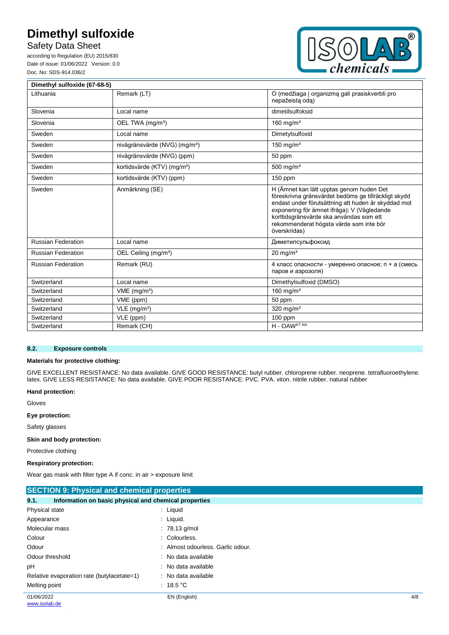Safety Data Sheet

according to Regulation (EU) 2015/830 Date of issue: 01/06/2022 Version: 0.0 Doc. No: SDS-914.036/2



| Dimethyl sulfoxide (67-68-5) |                                           |                                                                                                                                                                                                                                                                                                              |
|------------------------------|-------------------------------------------|--------------------------------------------------------------------------------------------------------------------------------------------------------------------------------------------------------------------------------------------------------------------------------------------------------------|
| Lithuania                    | Remark (LT)                               | O (medžiaga į organizmą gali prasiskverbti pro<br>nepažeista oda)                                                                                                                                                                                                                                            |
| Slovenia                     | Local name                                | dimetilsulfoksid                                                                                                                                                                                                                                                                                             |
| Slovenia                     | OEL TWA (mg/m <sup>3</sup> )              | 160 mg/ $m3$                                                                                                                                                                                                                                                                                                 |
| Sweden                       | Local name                                | Dimetylsulfoxid                                                                                                                                                                                                                                                                                              |
| Sweden                       | nivågränsvärde (NVG) (mg/m <sup>3</sup> ) | 150 mg/m <sup>3</sup>                                                                                                                                                                                                                                                                                        |
| Sweden                       | nivågränsvärde (NVG) (ppm)                | 50 ppm                                                                                                                                                                                                                                                                                                       |
| Sweden                       | kortidsvärde (KTV) (mg/m <sup>3</sup> )   | 500 mg/ $m3$                                                                                                                                                                                                                                                                                                 |
| Sweden                       | kortidsvärde (KTV) (ppm)                  | 150 ppm                                                                                                                                                                                                                                                                                                      |
| Sweden                       | Anmärkning (SE)                           | H (Ämnet kan lätt upptas genom huden Det<br>föreskrivna gränsvärdet bedöms ge tillräckligt skydd<br>endast under förutsättning att huden är skyddad mot<br>exponering för ämnet ifråga); V (Vägledande<br>korttidsgränsvärde ska användas som ett<br>rekommenderat högsta värde som inte bör<br>överskridas) |
| <b>Russian Federation</b>    | Local name                                | Диметилсульфоксид                                                                                                                                                                                                                                                                                            |
| <b>Russian Federation</b>    | OEL Ceiling (mg/m <sup>3</sup> )          | $20$ mg/m <sup>3</sup>                                                                                                                                                                                                                                                                                       |
| <b>Russian Federation</b>    | Remark (RU)                               | 4 класс опасности - умеренно опасное; п + а (смесь<br>паров и аэрозоля)                                                                                                                                                                                                                                      |
| Switzerland                  | Local name                                | Dimethylsulfoxid (DMSO)                                                                                                                                                                                                                                                                                      |
| Switzerland                  | $VME$ (mg/m <sup>3</sup> )                | 160 mg/m $3$                                                                                                                                                                                                                                                                                                 |
| Switzerland                  | VME (ppm)                                 | 50 ppm                                                                                                                                                                                                                                                                                                       |
| Switzerland                  | $VLE$ (mg/m <sup>3</sup> )                | 320 mg/ $m3$                                                                                                                                                                                                                                                                                                 |
| Switzerland                  | VLE (ppm)                                 | $100$ ppm                                                                                                                                                                                                                                                                                                    |
| Switzerland                  | Remark (CH)                               | H - OAW <sup>KT AN</sup>                                                                                                                                                                                                                                                                                     |

#### **8.2. Exposure controls**

#### **Materials for protective clothing:**

GIVE EXCELLENT RESISTANCE: No data available. GIVE GOOD RESISTANCE: butyl rubber. chloroprene rubber. neoprene. tetrafluoroethylene. latex. GIVE LESS RESISTANCE: No data available. GIVE POOR RESISTANCE: PVC. PVA. viton. nitrile rubber. natural rubber

#### **Hand protection:**

Gloves

#### **Eye protection:**

Safety glasses

#### **Skin and body protection:**

Protective clothing

#### **Respiratory protection:**

Wear gas mask with filter type A if conc. in air > exposure limit

| <b>SECTION 9: Physical and chemical properties</b>            |                                 |     |  |
|---------------------------------------------------------------|---------------------------------|-----|--|
| Information on basic physical and chemical properties<br>9.1. |                                 |     |  |
| Physical state                                                | $:$ Liquid                      |     |  |
| Appearance                                                    | $\therefore$ Liquid.            |     |  |
| Molecular mass                                                | $: 78.13$ g/mol                 |     |  |
| Colour                                                        | : Colourless.                   |     |  |
| Odour                                                         | Almost odourless. Garlic odour. |     |  |
| Odour threshold                                               | : No data available             |     |  |
| pH                                                            | : No data available             |     |  |
| Relative evaporation rate (butylacetate=1)                    | : No data available             |     |  |
| Melting point                                                 | : 18.5 $^{\circ}$ C             |     |  |
| 01/06/2022                                                    | EN (English)                    | 4/8 |  |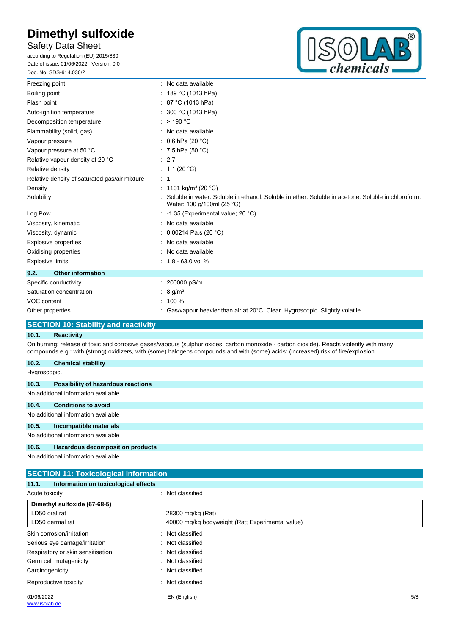## Safety Data Sheet

according to Regulation (EU) 2015/830 Date of issue: 01/06/2022 Version: 0.0 Doc. No: SDS-914.036/2



| Freezing point                                |  | : No data available                                                                                                              |
|-----------------------------------------------|--|----------------------------------------------------------------------------------------------------------------------------------|
| Boiling point                                 |  | : 189 °C (1013 hPa)                                                                                                              |
| Flash point                                   |  | : 87 °C (1013 hPa)                                                                                                               |
| Auto-ignition temperature                     |  | : $300 °C$ (1013 hPa)                                                                                                            |
| Decomposition temperature                     |  | : $>$ 190 °C                                                                                                                     |
| Flammability (solid, gas)                     |  | : No data available                                                                                                              |
| Vapour pressure                               |  | : 0.6 hPa (20 $^{\circ}$ C)                                                                                                      |
| Vapour pressure at 50 °C                      |  | : 7.5 hPa (50 $^{\circ}$ C)                                                                                                      |
| Relative vapour density at 20 °C              |  | : 2.7                                                                                                                            |
| Relative density                              |  | : $1.1(20 °C)$                                                                                                                   |
| Relative density of saturated gas/air mixture |  | : 1                                                                                                                              |
| Density                                       |  | : 1101 kg/m <sup>3</sup> (20 °C)                                                                                                 |
| Solubility                                    |  | Soluble in water. Soluble in ethanol. Soluble in ether. Soluble in acetone. Soluble in chloroform.<br>Water: 100 g/100ml (25 °C) |
| Log Pow                                       |  | : -1.35 (Experimental value; 20 $°C$ )                                                                                           |
| Viscosity, kinematic                          |  | : No data available                                                                                                              |
| Viscosity, dynamic                            |  | 0.00214 Pa.s (20 °C)                                                                                                             |
| Explosive properties                          |  | : No data available                                                                                                              |
| Oxidising properties                          |  | No data available                                                                                                                |
| <b>Explosive limits</b>                       |  | $: 1.8 - 63.0$ vol %                                                                                                             |
| <b>Other information</b><br>9.2.              |  |                                                                                                                                  |
| Specific conductivity                         |  | : 200000 pS/m                                                                                                                    |
| Saturation concentration                      |  | $8 \text{ g/m}^3$                                                                                                                |
| VOC content                                   |  | $: 100 \%$                                                                                                                       |
| Other properties                              |  | : Gas/vapour heavier than air at 20°C. Clear. Hygroscopic. Slightly volatile.                                                    |
|                                               |  |                                                                                                                                  |

## **SECTION 10: Stability and reactivity**

#### **10.1. Reactivity**

On burning: release of toxic and corrosive gases/vapours (sulphur oxides, carbon monoxide - carbon dioxide). Reacts violently with many compounds e.g.: with (strong) oxidizers, with (some) halogens compounds and with (some) acids: (increased) risk of fire/explosion.

| 10.2.        | <b>Chemical stability</b>                                                                                                                                                                                                         |
|--------------|-----------------------------------------------------------------------------------------------------------------------------------------------------------------------------------------------------------------------------------|
| Hygroscopic. |                                                                                                                                                                                                                                   |
| 10.3.        | <b>Possibility of hazardous reactions</b>                                                                                                                                                                                         |
|              | No additional information available                                                                                                                                                                                               |
| 10.4.        | <b>Conditions to avoid</b>                                                                                                                                                                                                        |
|              | No additional information available                                                                                                                                                                                               |
| 10.5.        | Incompatible materials                                                                                                                                                                                                            |
|              | No additional information available                                                                                                                                                                                               |
| 10.6.        | Hazardous decomposition products                                                                                                                                                                                                  |
|              | $\mathbf{r}$ , and the second contract of the second contract of the second contract of the second contract of the second contract of the second contract of the second contract of the second contract of the second contract of |

No additional information available

|                              | <b>SECTION 11: Toxicological information</b>  |                   |  |  |
|------------------------------|-----------------------------------------------|-------------------|--|--|
|                              | 11.1.<br>Information on toxicological effects |                   |  |  |
| Acute toxicity               |                                               | : Not classified  |  |  |
| Dimethyl sulfoxide (67-68-5) |                                               |                   |  |  |
|                              | LD50 oral rat                                 | 28300 mg/kg (Rat) |  |  |
|                              |                                               |                   |  |  |

| 40000 mg/kg bodyweight (Rat; Experimental value)<br>LD50 dermal rat |                  |     |
|---------------------------------------------------------------------|------------------|-----|
| Skin corrosion/irritation                                           | Not classified   |     |
| Serious eye damage/irritation                                       | : Not classified |     |
| Respiratory or skin sensitisation                                   | : Not classified |     |
| Germ cell mutagenicity                                              | Not classified   |     |
| Carcinogenicity                                                     | Not classified   |     |
| Reproductive toxicity                                               | Not classified   |     |
| 01/06/2022                                                          | EN (English)     | 5/8 |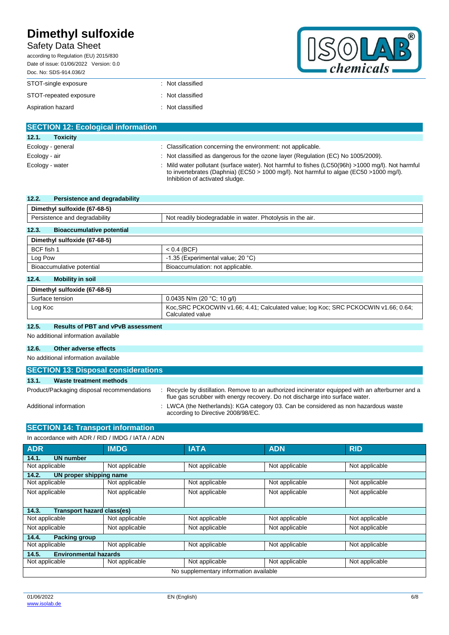## Safety Data Sheet

according to Regulation (EU) 2015/830

| chemicals |
|-----------|

| Date of issue: 01/06/2022 Version: 0.0<br>Doc. No: SDS-914.036/2 |                  |
|------------------------------------------------------------------|------------------|
| STOT-single exposure                                             | : Not classified |
| STOT-repeated exposure                                           | : Not classified |
| Aspiration hazard                                                | : Not classified |

| <b>SECTION 12: Ecological information</b> |                                                                                                                                                                                                                               |
|-------------------------------------------|-------------------------------------------------------------------------------------------------------------------------------------------------------------------------------------------------------------------------------|
| 12.1.<br><b>Toxicity</b>                  |                                                                                                                                                                                                                               |
| Ecology - general                         | : Classification concerning the environment: not applicable.                                                                                                                                                                  |
| Ecology - air                             | : Not classified as dangerous for the ozone layer (Regulation (EC) No 1005/2009).                                                                                                                                             |
| Ecology - water                           | Mild water pollutant (surface water). Not harmful to fishes (LC50(96h) >1000 mg/l). Not harmful<br>to invertebrates (Daphnia) (EC50 > 1000 mg/l). Not harmful to algae (EC50 > 1000 mg/l).<br>Inhibition of activated sludge. |

| 12.2.      | Persistence and degradability    |                                                                                     |
|------------|----------------------------------|-------------------------------------------------------------------------------------|
|            | Dimethyl sulfoxide (67-68-5)     |                                                                                     |
|            | Persistence and degradability    | Not readily biodegradable in water. Photolysis in the air.                          |
| 12.3.      | <b>Bioaccumulative potential</b> |                                                                                     |
|            | Dimethyl sulfoxide (67-68-5)     |                                                                                     |
| BCF fish 1 |                                  | $< 0.4$ (BCF)                                                                       |
| Log Pow    |                                  | -1.35 (Experimental value; 20 °C)                                                   |
|            | Bioaccumulative potential        | Bioaccumulation: not applicable.                                                    |
| 12.4.      | <b>Mobility in soil</b>          |                                                                                     |
|            | Dimethyl sulfoxide (67-68-5)     |                                                                                     |
|            | Surface tension                  | $0.0435$ N/m (20 °C; 10 g/l)                                                        |
| Log Koc    |                                  | Koc, SRC PCKOCWIN v1.66; 4.41; Calculated value; log Koc; SRC PCKOCWIN v1.66; 0.64; |

Calculated value

#### **12.5. Results of PBT and vPvB assessment**

No additional information available

#### **12.6. Other adverse effects**

No additional information available

| <b>SECTION 13: Disposal considerations</b> |                                                                                                                                                                                   |  |  |
|--------------------------------------------|-----------------------------------------------------------------------------------------------------------------------------------------------------------------------------------|--|--|
| 13.1.<br>Waste treatment methods           |                                                                                                                                                                                   |  |  |
| Product/Packaging disposal recommendations | : Recycle by distillation. Remove to an authorized incinerator equipped with an afterburner and a<br>flue gas scrubber with energy recovery. Do not discharge into surface water. |  |  |
| Additional information                     | : LWCA (the Netherlands): KGA category 03. Can be considered as non hazardous waste<br>according to Directive 2008/98/EC.                                                         |  |  |

### **SECTION 14: Transport information**

In accordance with ADR / RID / IMDG / IATA / ADN

| <b>ADR</b>                             | <b>IMDG</b>    | <b>IATA</b>    | <b>ADN</b>     | <b>RID</b>     |
|----------------------------------------|----------------|----------------|----------------|----------------|
| <b>UN number</b><br>14.1.              |                |                |                |                |
| Not applicable                         | Not applicable | Not applicable | Not applicable | Not applicable |
| 14.2.<br>UN proper shipping name       |                |                |                |                |
| Not applicable                         | Not applicable | Not applicable | Not applicable | Not applicable |
| Not applicable                         | Not applicable | Not applicable | Not applicable | Not applicable |
|                                        |                |                |                |                |
| Transport hazard class(es)<br>14.3.    |                |                |                |                |
| Not applicable                         | Not applicable | Not applicable | Not applicable | Not applicable |
| Not applicable                         | Not applicable | Not applicable | Not applicable | Not applicable |
| 14.4.<br><b>Packing group</b>          |                |                |                |                |
| Not applicable                         | Not applicable | Not applicable | Not applicable | Not applicable |
| <b>Environmental hazards</b><br>14.5.  |                |                |                |                |
| Not applicable                         | Not applicable | Not applicable | Not applicable | Not applicable |
| No supplementary information available |                |                |                |                |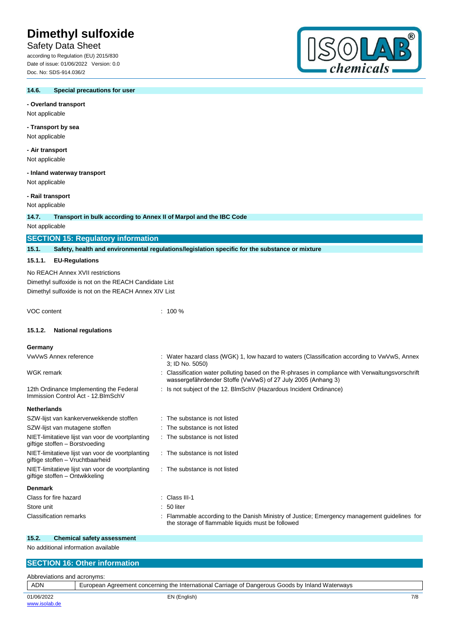## Safety Data Sheet

according to Regulation (EU) 2015/830 Date of issue: 01/06/2022 Version: 0.0 Doc. No: SDS-914.036/2



## **- Overland transport**

Not applicable

#### **- Transport by sea**

Not applicable

#### **- Air transport**

Not applicable

#### **- Inland waterway transport**

Not applicable

## **- Rail transport**

Not applicable

#### **14.7. Transport in bulk according to Annex II of Marpol and the IBC Code**

Not applicable

|                                                                                    | <b>SECTION 15: Regulatory information</b>                                                                                                          |  |                                                                                                                                                                |  |
|------------------------------------------------------------------------------------|----------------------------------------------------------------------------------------------------------------------------------------------------|--|----------------------------------------------------------------------------------------------------------------------------------------------------------------|--|
| 15.1.                                                                              | Safety, health and environmental regulations/legislation specific for the substance or mixture                                                     |  |                                                                                                                                                                |  |
| 15.1.1.                                                                            | <b>EU-Regulations</b>                                                                                                                              |  |                                                                                                                                                                |  |
|                                                                                    | No REACH Annex XVII restrictions<br>Dimethyl sulfoxide is not on the REACH Candidate List<br>Dimethyl sulfoxide is not on the REACH Annex XIV List |  |                                                                                                                                                                |  |
| VOC content                                                                        |                                                                                                                                                    |  | $: 100 \%$                                                                                                                                                     |  |
| 15.1.2.                                                                            | <b>National regulations</b>                                                                                                                        |  |                                                                                                                                                                |  |
| Germany                                                                            |                                                                                                                                                    |  |                                                                                                                                                                |  |
|                                                                                    | VwVwS Annex reference                                                                                                                              |  | Water hazard class (WGK) 1, low hazard to waters (Classification according to VwVwS, Annex<br>3; ID No. 5050)                                                  |  |
| <b>WGK</b> remark                                                                  |                                                                                                                                                    |  | Classification water polluting based on the R-phrases in compliance with Verwaltungsvorschrift<br>wassergefährdender Stoffe (VwVwS) of 27 July 2005 (Anhang 3) |  |
|                                                                                    | 12th Ordinance Implementing the Federal<br>Immission Control Act - 12. BlmSchV                                                                     |  | : Is not subject of the 12. BlmSchV (Hazardous Incident Ordinance)                                                                                             |  |
| <b>Netherlands</b>                                                                 |                                                                                                                                                    |  |                                                                                                                                                                |  |
|                                                                                    | SZW-lijst van kankerverwekkende stoffen                                                                                                            |  | The substance is not listed                                                                                                                                    |  |
|                                                                                    | SZW-lijst van mutagene stoffen                                                                                                                     |  | The substance is not listed                                                                                                                                    |  |
|                                                                                    | NIET-limitatieve lijst van voor de voortplanting<br>giftige stoffen - Borstvoeding                                                                 |  | : The substance is not listed                                                                                                                                  |  |
|                                                                                    | NIET-limitatieve lijst van voor de voortplanting<br>giftige stoffen - Vruchtbaarheid                                                               |  | : The substance is not listed                                                                                                                                  |  |
| NIET-limitatieve lijst van voor de voortplanting<br>giftige stoffen - Ontwikkeling |                                                                                                                                                    |  | : The substance is not listed                                                                                                                                  |  |
| <b>Denmark</b>                                                                     |                                                                                                                                                    |  |                                                                                                                                                                |  |
|                                                                                    | Class for fire hazard                                                                                                                              |  | Class III-1                                                                                                                                                    |  |
| Store unit                                                                         |                                                                                                                                                    |  | 50 liter                                                                                                                                                       |  |
| <b>Classification remarks</b>                                                      |                                                                                                                                                    |  | Flammable according to the Danish Ministry of Justice; Emergency management guidelines for<br>the storage of flammable liquids must be followed                |  |

#### **15.2. Chemical safety assessment**

No additional information available

## **SECTION 16: Other information** Abbreviations and acronyms:

| <b>ADN</b>                  | European Agreement concerning the International Carriage of Dangerous Goods by Inland Waterways |     |
|-----------------------------|-------------------------------------------------------------------------------------------------|-----|
| 01/06/2022<br>www.isolab.de | EN (English)                                                                                    | 7/8 |